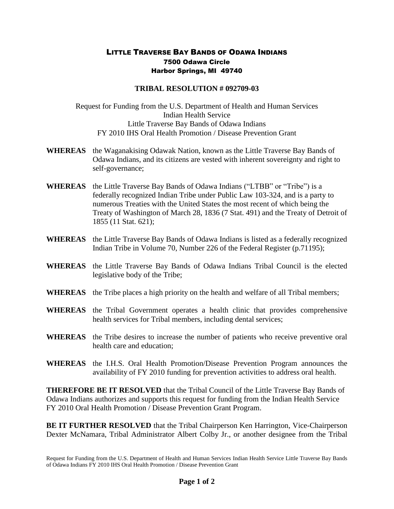## LITTLE TRAVERSE BAY BANDS OF ODAWA INDIANS 7500 Odawa Circle Harbor Springs, MI 49740

## **TRIBAL RESOLUTION # 092709-03**

Request for Funding from the U.S. Department of Health and Human Services Indian Health Service Little Traverse Bay Bands of Odawa Indians FY 2010 IHS Oral Health Promotion / Disease Prevention Grant

- **WHEREAS** the Waganakising Odawak Nation, known as the Little Traverse Bay Bands of Odawa Indians, and its citizens are vested with inherent sovereignty and right to self-governance;
- **WHEREAS** the Little Traverse Bay Bands of Odawa Indians ("LTBB" or "Tribe") is a federally recognized Indian Tribe under Public Law 103-324, and is a party to numerous Treaties with the United States the most recent of which being the Treaty of Washington of March 28, 1836 (7 Stat. 491) and the Treaty of Detroit of 1855 (11 Stat. 621);
- **WHEREAS** the Little Traverse Bay Bands of Odawa Indians is listed as a federally recognized Indian Tribe in Volume 70, Number 226 of the Federal Register (p.71195);
- **WHEREAS** the Little Traverse Bay Bands of Odawa Indians Tribal Council is the elected legislative body of the Tribe;
- **WHEREAS** the Tribe places a high priority on the health and welfare of all Tribal members;
- **WHEREAS** the Tribal Government operates a health clinic that provides comprehensive health services for Tribal members, including dental services;
- **WHEREAS** the Tribe desires to increase the number of patients who receive preventive oral health care and education;
- **WHEREAS** the I.H.S. Oral Health Promotion/Disease Prevention Program announces the availability of FY 2010 funding for prevention activities to address oral health.

**THEREFORE BE IT RESOLVED** that the Tribal Council of the Little Traverse Bay Bands of Odawa Indians authorizes and supports this request for funding from the Indian Health Service FY 2010 Oral Health Promotion / Disease Prevention Grant Program.

**BE IT FURTHER RESOLVED** that the Tribal Chairperson Ken Harrington, Vice-Chairperson Dexter McNamara, Tribal Administrator Albert Colby Jr., or another designee from the Tribal

Request for Funding from the U.S. Department of Health and Human Services Indian Health Service Little Traverse Bay Bands of Odawa Indians FY 2010 IHS Oral Health Promotion / Disease Prevention Grant